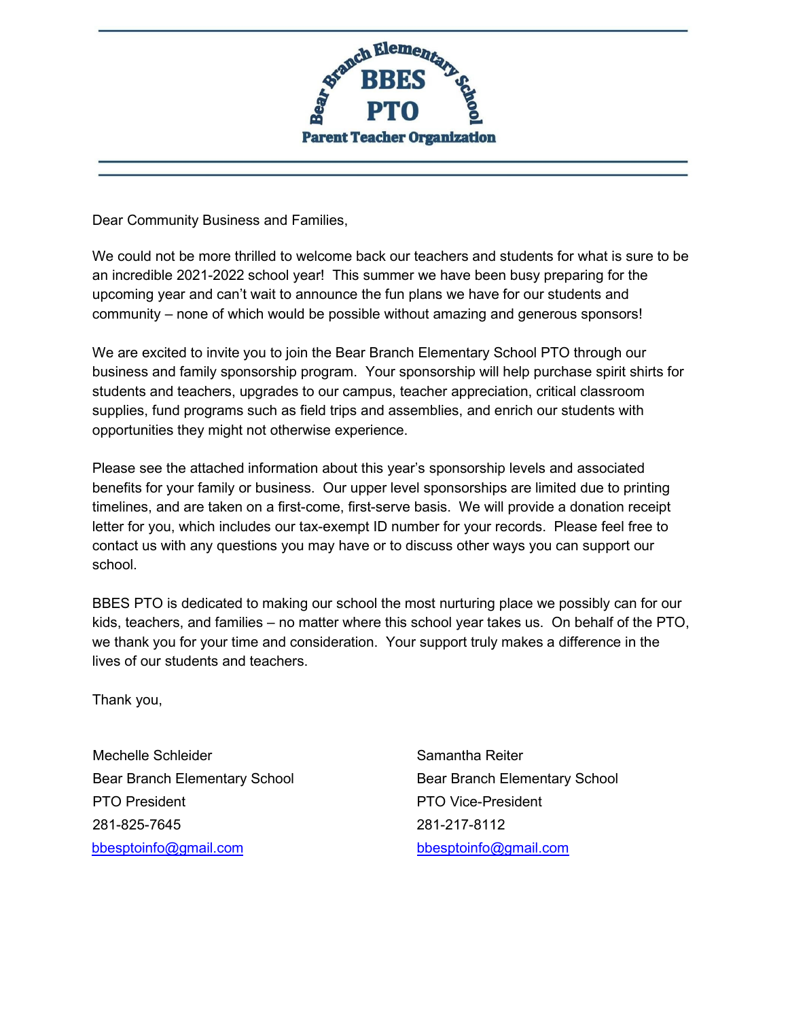

Dear Community Business and Families,

We could not be more thrilled to welcome back our teachers and students for what is sure to be an incredible 2021-2022 school year! This summer we have been busy preparing for the upcoming year and can't wait to announce the fun plans we have for our students and community – none of which would be possible without amazing and generous sponsors!

We are excited to invite you to join the Bear Branch Elementary School PTO through our business and family sponsorship program. Your sponsorship will help purchase spirit shirts for students and teachers, upgrades to our campus, teacher appreciation, critical classroom supplies, fund programs such as field trips and assemblies, and enrich our students with opportunities they might not otherwise experience.

Please see the attached information about this year's sponsorship levels and associated benefits for your family or business. Our upper level sponsorships are limited due to printing timelines, and are taken on a first-come, first-serve basis. We will provide a donation receipt letter for you, which includes our tax-exempt ID number for your records. Please feel free to contact us with any questions you may have or to discuss other ways you can support our school.

BBES PTO is dedicated to making our school the most nurturing place we possibly can for our kids, teachers, and families – no matter where this school year takes us. On behalf of the PTO, we thank you for your time and consideration. Your support truly makes a difference in the lives of our students and teachers.

Thank you,

Mechelle Schleider Bear Branch Elementary School PTO President 281-825-7645 [bbesptoinfo@gmail.com](mailto:bbesptoinfo@gmail.com)

Samantha Reiter Bear Branch Elementary School PTO Vice-President 281-217-8112 [bbesptoinfo@gmail.com](mailto:bbesptoinfo@gmail.com)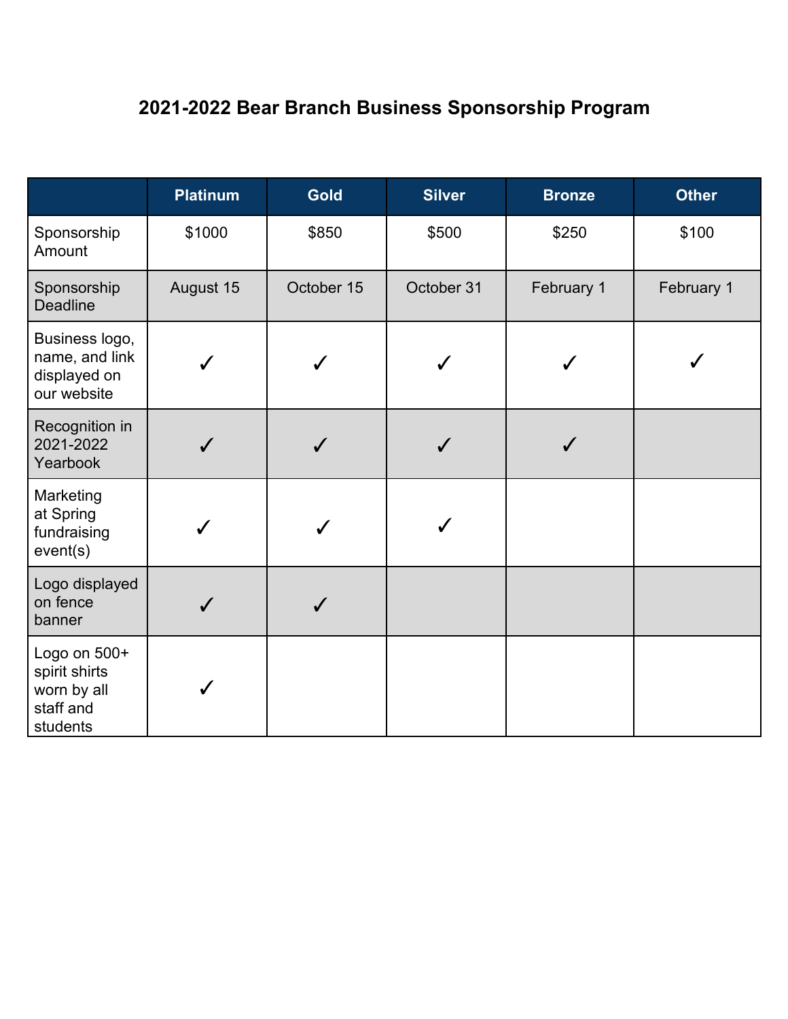## **2021-2022 Bear Branch Business Sponsorship Program**

|                                                                       | <b>Platinum</b> | <b>Gold</b> | <b>Silver</b> | <b>Bronze</b> | <b>Other</b> |
|-----------------------------------------------------------------------|-----------------|-------------|---------------|---------------|--------------|
| Sponsorship<br>Amount                                                 | \$1000          | \$850       | \$500         | \$250         | \$100        |
| Sponsorship<br><b>Deadline</b>                                        | August 15       | October 15  | October 31    | February 1    | February 1   |
| Business logo,<br>name, and link<br>displayed on<br>our website       |                 |             |               |               |              |
| Recognition in<br>2021-2022<br>Yearbook                               |                 |             | $\checkmark$  |               |              |
| Marketing<br>at Spring<br>fundraising<br>event(s)                     |                 |             |               |               |              |
| Logo displayed<br>on fence<br>banner                                  |                 |             |               |               |              |
| Logo on 500+<br>spirit shirts<br>worn by all<br>staff and<br>students |                 |             |               |               |              |